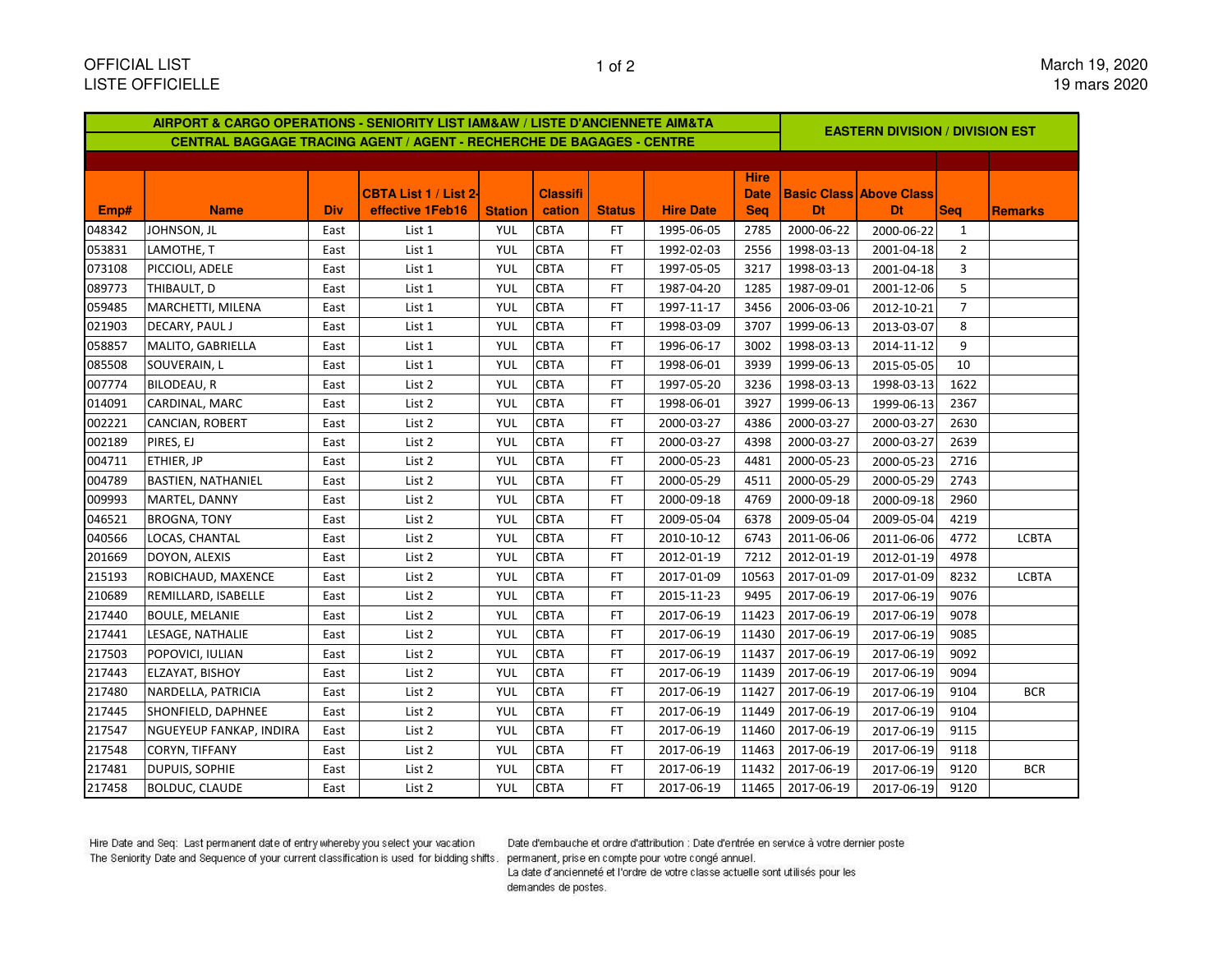| AIRPORT & CARGO OPERATIONS - SENIORITY LIST IAM&AW / LISTE D'ANCIENNETE AIM&TA |                           |            |                              |                |                 |               |                  |             | <b>EASTERN DIVISION / DIVISION EST</b> |                                |                |                |  |  |
|--------------------------------------------------------------------------------|---------------------------|------------|------------------------------|----------------|-----------------|---------------|------------------|-------------|----------------------------------------|--------------------------------|----------------|----------------|--|--|
| <b>CENTRAL BAGGAGE TRACING AGENT / AGENT - RECHERCHE DE BAGAGES - CENTRE</b>   |                           |            |                              |                |                 |               |                  |             |                                        |                                |                |                |  |  |
|                                                                                |                           |            |                              |                |                 |               |                  |             |                                        |                                |                |                |  |  |
|                                                                                |                           |            |                              |                |                 |               |                  | <b>Hire</b> |                                        |                                |                |                |  |  |
|                                                                                |                           |            | <b>CBTA List 1 / List 21</b> |                | <b>Classifi</b> |               |                  | <b>Date</b> |                                        | <b>Basic Class Above Class</b> |                |                |  |  |
| Emp#                                                                           | <b>Name</b>               | <b>Div</b> | effective 1Feb16             | <b>Station</b> | cation          | <b>Status</b> | <b>Hire Date</b> | <b>Seq</b>  | <b>Dt</b>                              | <b>Dt</b>                      | <b>Seq</b>     | <b>Remarks</b> |  |  |
| 048342                                                                         | JOHNSON, JL               | East       | List 1                       | YUL            | <b>CBTA</b>     | FT.           | 1995-06-05       | 2785        | 2000-06-22                             | 2000-06-22                     | 1              |                |  |  |
| 053831                                                                         | LAMOTHE, T                | East       | List 1                       | YUL            | <b>CBTA</b>     | FT.           | 1992-02-03       | 2556        | 1998-03-13                             | 2001-04-18                     | $\overline{2}$ |                |  |  |
| 073108                                                                         | PICCIOLI, ADELE           | East       | List 1                       | YUL            | <b>CBTA</b>     | FT.           | 1997-05-05       | 3217        | 1998-03-13                             | 2001-04-18                     | 3              |                |  |  |
| 089773                                                                         | THIBAULT, D               | East       | List 1                       | YUL            | <b>CBTA</b>     | FT            | 1987-04-20       | 1285        | 1987-09-01                             | 2001-12-06                     | 5              |                |  |  |
| 059485                                                                         | MARCHETTI, MILENA         | East       | List 1                       | YUL            | <b>CBTA</b>     | FT            | 1997-11-17       | 3456        | 2006-03-06                             | 2012-10-21                     | $\overline{7}$ |                |  |  |
| 021903                                                                         | DECARY, PAUL J            | East       | List 1                       | YUL            | <b>CBTA</b>     | FT            | 1998-03-09       | 3707        | 1999-06-13                             | 2013-03-07                     | 8              |                |  |  |
| 058857                                                                         | MALITO, GABRIELLA         | East       | List 1                       | YUL            | <b>CBTA</b>     | FT.           | 1996-06-17       | 3002        | 1998-03-13                             | 2014-11-12                     | 9              |                |  |  |
| 085508                                                                         | SOUVERAIN, L              | East       | List 1                       | YUL            | <b>CBTA</b>     | FT            | 1998-06-01       | 3939        | 1999-06-13                             | 2015-05-05                     | 10             |                |  |  |
| 007774                                                                         | <b>BILODEAU, R</b>        | East       | List 2                       | YUL            | <b>CBTA</b>     | FT            | 1997-05-20       | 3236        | 1998-03-13                             | 1998-03-13                     | 1622           |                |  |  |
| 014091                                                                         | CARDINAL, MARC            | East       | List 2                       | <b>YUL</b>     | <b>CBTA</b>     | FT.           | 1998-06-01       | 3927        | 1999-06-13                             | 1999-06-13                     | 2367           |                |  |  |
| 002221                                                                         | CANCIAN, ROBERT           | East       | List 2                       | YUL            | <b>CBTA</b>     | FT            | 2000-03-27       | 4386        | 2000-03-27                             | 2000-03-27                     | 2630           |                |  |  |
| 002189                                                                         | PIRES, EJ                 | East       | List 2                       | YUL            | <b>CBTA</b>     | FT            | 2000-03-27       | 4398        | 2000-03-27                             | 2000-03-27                     | 2639           |                |  |  |
| 004711                                                                         | ETHIER, JP                | East       | List 2                       | YUL            | <b>CBTA</b>     | FT            | 2000-05-23       | 4481        | 2000-05-23                             | 2000-05-23                     | 2716           |                |  |  |
| 004789                                                                         | <b>BASTIEN, NATHANIEL</b> | East       | List 2                       | YUL            | <b>CBTA</b>     | FT            | 2000-05-29       | 4511        | 2000-05-29                             | 2000-05-29                     | 2743           |                |  |  |
| 009993                                                                         | MARTEL, DANNY             | East       | List 2                       | YUL            | <b>CBTA</b>     | FT.           | 2000-09-18       | 4769        | 2000-09-18                             | 2000-09-18                     | 2960           |                |  |  |
| 046521                                                                         | <b>BROGNA, TONY</b>       | East       | List 2                       | <b>YUL</b>     | <b>CBTA</b>     | FT            | 2009-05-04       | 6378        | 2009-05-04                             | 2009-05-04                     | 4219           |                |  |  |
| 040566                                                                         | LOCAS, CHANTAL            | East       | List 2                       | YUL            | <b>CBTA</b>     | FT.           | 2010-10-12       | 6743        | 2011-06-06                             | 2011-06-06                     | 4772           | <b>LCBTA</b>   |  |  |
| 201669                                                                         | DOYON, ALEXIS             | East       | List 2                       | YUL            | <b>CBTA</b>     | FT.           | 2012-01-19       | 7212        | 2012-01-19                             | 2012-01-19                     | 4978           |                |  |  |
| 215193                                                                         | ROBICHAUD, MAXENCE        | East       | List 2                       | YUL            | <b>CBTA</b>     | FT            | 2017-01-09       | 10563       | 2017-01-09                             | 2017-01-09                     | 8232           | <b>LCBTA</b>   |  |  |
| 210689                                                                         | REMILLARD, ISABELLE       | East       | List 2                       | YUL            | <b>CBTA</b>     | FT.           | 2015-11-23       | 9495        | 2017-06-19                             | 2017-06-19                     | 9076           |                |  |  |
| 217440                                                                         | <b>BOULE, MELANIE</b>     | East       | List 2                       | YUL            | <b>CBTA</b>     | FT.           | 2017-06-19       | 11423       | 2017-06-19                             | 2017-06-19                     | 9078           |                |  |  |
| 217441                                                                         | LESAGE, NATHALIE          | East       | List 2                       | YUL            | <b>CBTA</b>     | FT.           | 2017-06-19       | 11430       | 2017-06-19                             | 2017-06-19                     | 9085           |                |  |  |
| 217503                                                                         | POPOVICI, IULIAN          | East       | List 2                       | YUL            | <b>CBTA</b>     | FT.           | 2017-06-19       | 11437       | 2017-06-19                             | 2017-06-19                     | 9092           |                |  |  |
| 217443                                                                         | ELZAYAT, BISHOY           | East       | List 2                       | YUL            | <b>CBTA</b>     | FT            | 2017-06-19       | 11439       | 2017-06-19                             | 2017-06-19                     | 9094           |                |  |  |
| 217480                                                                         | NARDELLA, PATRICIA        | East       | List 2                       | YUL            | <b>CBTA</b>     | FT            | 2017-06-19       | 11427       | 2017-06-19                             | 2017-06-19                     | 9104           | <b>BCR</b>     |  |  |
| 217445                                                                         | SHONFIELD, DAPHNEE        | East       | List 2                       | YUL            | <b>CBTA</b>     | FT.           | 2017-06-19       | 11449       | 2017-06-19                             | 2017-06-19                     | 9104           |                |  |  |
| 217547                                                                         | NGUEYEUP FANKAP, INDIRA   | East       | List 2                       | YUL            | <b>CBTA</b>     | FT            | 2017-06-19       | 11460       | 2017-06-19                             | 2017-06-19                     | 9115           |                |  |  |
| 217548                                                                         | CORYN, TIFFANY            | East       | List 2                       | YUL            | <b>CBTA</b>     | FT.           | 2017-06-19       | 11463       | 2017-06-19                             | 2017-06-19                     | 9118           |                |  |  |
| 217481                                                                         | DUPUIS, SOPHIE            | East       | List 2                       | YUL            | <b>CBTA</b>     | FT.           | 2017-06-19       | 11432       | 2017-06-19                             | 2017-06-19                     | 9120           | <b>BCR</b>     |  |  |
| 217458                                                                         | <b>BOLDUC, CLAUDE</b>     | East       | List 2                       | <b>YUL</b>     | <b>CBTA</b>     | FT.           | 2017-06-19       | 11465       | 2017-06-19                             | 2017-06-19                     | 9120           |                |  |  |

Hire Date and Seq: Last permanent date of entry whereby you select your vacation The Seniority Date and Sequence of your current classification is used for bidding shifts. permanent, prise en compte pour votre congé annuel.

Date d'embauche et ordre d'attribution : Date d'entrée en service à votre dernier poste

La date d'ancienneté et l'ordre de votre classe actuelle sont utilisés pour les demandes de postes.